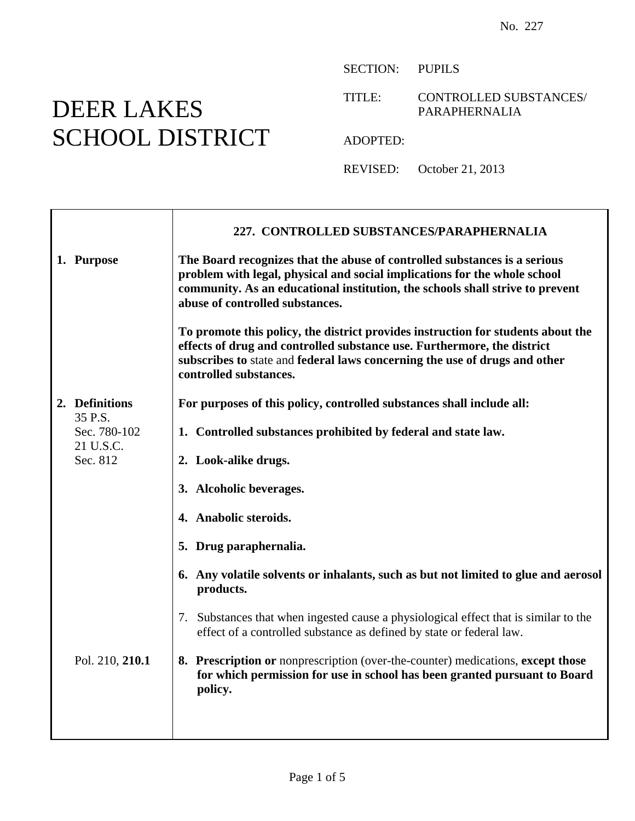## DEER LAKES SCHOOL DISTRICT

SECTION: PUPILS

TITLE: CONTROLLED SUBSTANCES/ PARAPHERNALIA

ADOPTED:

REVISED: October 21, 2013

|  |                                                  | 227. CONTROLLED SUBSTANCES/PARAPHERNALIA                                                                                                                                                                                                                                   |
|--|--------------------------------------------------|----------------------------------------------------------------------------------------------------------------------------------------------------------------------------------------------------------------------------------------------------------------------------|
|  | 1. Purpose                                       | The Board recognizes that the abuse of controlled substances is a serious<br>problem with legal, physical and social implications for the whole school<br>community. As an educational institution, the schools shall strive to prevent<br>abuse of controlled substances. |
|  |                                                  | To promote this policy, the district provides instruction for students about the<br>effects of drug and controlled substance use. Furthermore, the district<br>subscribes to state and federal laws concerning the use of drugs and other<br>controlled substances.        |
|  | 2. Definitions                                   | For purposes of this policy, controlled substances shall include all:                                                                                                                                                                                                      |
|  | 35 P.S.<br>Sec. 780-102<br>21 U.S.C.<br>Sec. 812 | 1. Controlled substances prohibited by federal and state law.                                                                                                                                                                                                              |
|  |                                                  | 2. Look-alike drugs.                                                                                                                                                                                                                                                       |
|  |                                                  | 3. Alcoholic beverages.                                                                                                                                                                                                                                                    |
|  |                                                  | 4. Anabolic steroids.                                                                                                                                                                                                                                                      |
|  |                                                  | 5. Drug paraphernalia.                                                                                                                                                                                                                                                     |
|  |                                                  | 6. Any volatile solvents or inhalants, such as but not limited to glue and aerosol<br>products.                                                                                                                                                                            |
|  |                                                  | 7. Substances that when ingested cause a physiological effect that is similar to the<br>effect of a controlled substance as defined by state or federal law.                                                                                                               |
|  | Pol. 210, 210.1                                  | 8. Prescription or nonprescription (over-the-counter) medications, except those<br>for which permission for use in school has been granted pursuant to Board<br>policy.                                                                                                    |
|  |                                                  |                                                                                                                                                                                                                                                                            |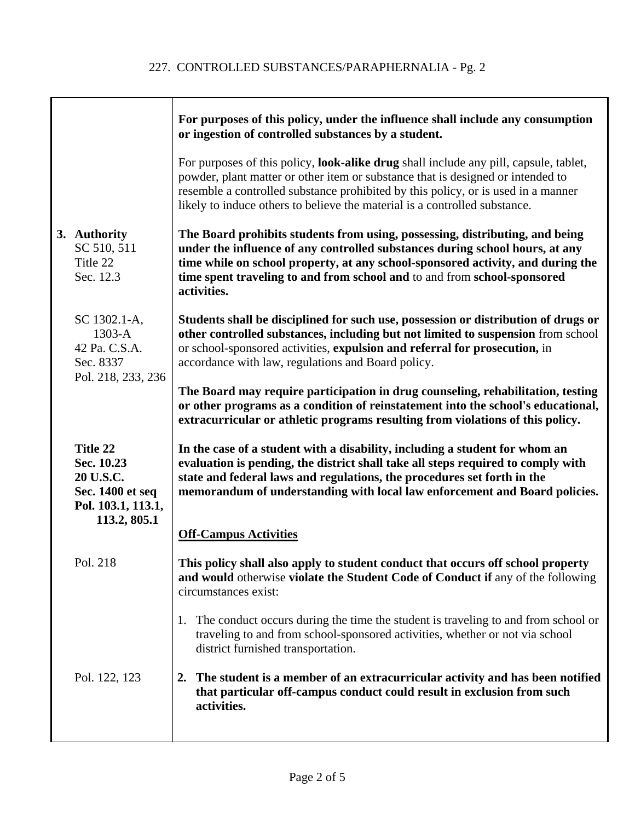|                                                                                               | For purposes of this policy, under the influence shall include any consumption<br>or ingestion of controlled substances by a student.                                                                                                                                                                                                                    |
|-----------------------------------------------------------------------------------------------|----------------------------------------------------------------------------------------------------------------------------------------------------------------------------------------------------------------------------------------------------------------------------------------------------------------------------------------------------------|
|                                                                                               | For purposes of this policy, look-alike drug shall include any pill, capsule, tablet,<br>powder, plant matter or other item or substance that is designed or intended to<br>resemble a controlled substance prohibited by this policy, or is used in a manner<br>likely to induce others to believe the material is a controlled substance.              |
| 3. Authority<br>SC 510, 511<br>Title 22<br>Sec. 12.3                                          | The Board prohibits students from using, possessing, distributing, and being<br>under the influence of any controlled substances during school hours, at any<br>time while on school property, at any school-sponsored activity, and during the<br>time spent traveling to and from school and to and from school-sponsored<br>activities.               |
| SC 1302.1-A,<br>$1303-A$<br>42 Pa. C.S.A.<br>Sec. 8337<br>Pol. 218, 233, 236                  | Students shall be disciplined for such use, possession or distribution of drugs or<br>other controlled substances, including but not limited to suspension from school<br>or school-sponsored activities, expulsion and referral for prosecution, in<br>accordance with law, regulations and Board policy.                                               |
|                                                                                               | The Board may require participation in drug counseling, rehabilitation, testing<br>or other programs as a condition of reinstatement into the school's educational,<br>extracurricular or athletic programs resulting from violations of this policy.                                                                                                    |
| Title 22<br>Sec. 10.23<br>20 U.S.C.<br>Sec. 1400 et seq<br>Pol. 103.1, 113.1,<br>113.2, 805.1 | In the case of a student with a disability, including a student for whom an<br>evaluation is pending, the district shall take all steps required to comply with<br>state and federal laws and regulations, the procedures set forth in the<br>memorandum of understanding with local law enforcement and Board policies.<br><b>Off-Campus Activities</b> |
| Pol. 218                                                                                      | This policy shall also apply to student conduct that occurs off school property<br>and would otherwise violate the Student Code of Conduct if any of the following<br>circumstances exist:                                                                                                                                                               |
|                                                                                               | The conduct occurs during the time the student is traveling to and from school or<br>1.<br>traveling to and from school-sponsored activities, whether or not via school<br>district furnished transportation.                                                                                                                                            |
| Pol. 122, 123                                                                                 | The student is a member of an extracurricular activity and has been notified<br>$2_{\cdot}$<br>that particular off-campus conduct could result in exclusion from such<br>activities.                                                                                                                                                                     |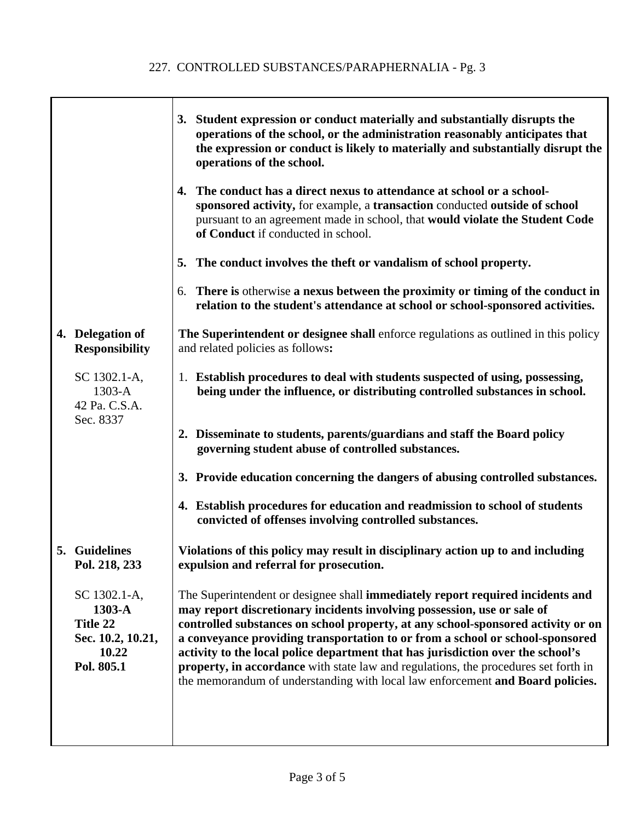٦

|                                                                                | 3. Student expression or conduct materially and substantially disrupts the<br>operations of the school, or the administration reasonably anticipates that<br>the expression or conduct is likely to materially and substantially disrupt the<br>operations of the school.                                                                                                                                                                                                                                                                                                                  |
|--------------------------------------------------------------------------------|--------------------------------------------------------------------------------------------------------------------------------------------------------------------------------------------------------------------------------------------------------------------------------------------------------------------------------------------------------------------------------------------------------------------------------------------------------------------------------------------------------------------------------------------------------------------------------------------|
|                                                                                | 4. The conduct has a direct nexus to attendance at school or a school-<br>sponsored activity, for example, a transaction conducted outside of school<br>pursuant to an agreement made in school, that would violate the Student Code<br>of Conduct if conducted in school.                                                                                                                                                                                                                                                                                                                 |
|                                                                                | 5. The conduct involves the theft or vandalism of school property.                                                                                                                                                                                                                                                                                                                                                                                                                                                                                                                         |
|                                                                                | 6. There is otherwise a nexus between the proximity or timing of the conduct in<br>relation to the student's attendance at school or school-sponsored activities.                                                                                                                                                                                                                                                                                                                                                                                                                          |
| 4. Delegation of<br><b>Responsibility</b>                                      | The Superintendent or designee shall enforce regulations as outlined in this policy<br>and related policies as follows:                                                                                                                                                                                                                                                                                                                                                                                                                                                                    |
| SC 1302.1-A,<br>$1303-A$<br>42 Pa. C.S.A.<br>Sec. 8337                         | 1. Establish procedures to deal with students suspected of using, possessing,<br>being under the influence, or distributing controlled substances in school.                                                                                                                                                                                                                                                                                                                                                                                                                               |
|                                                                                | 2. Disseminate to students, parents/guardians and staff the Board policy<br>governing student abuse of controlled substances.                                                                                                                                                                                                                                                                                                                                                                                                                                                              |
|                                                                                | 3. Provide education concerning the dangers of abusing controlled substances.                                                                                                                                                                                                                                                                                                                                                                                                                                                                                                              |
|                                                                                | 4. Establish procedures for education and readmission to school of students<br>convicted of offenses involving controlled substances.                                                                                                                                                                                                                                                                                                                                                                                                                                                      |
| 5. Guidelines<br>Pol. 218, 233                                                 | Violations of this policy may result in disciplinary action up to and including<br>expulsion and referral for prosecution.                                                                                                                                                                                                                                                                                                                                                                                                                                                                 |
| SC 1302.1-A,<br>1303-A<br>Title 22<br>Sec. 10.2, 10.21,<br>10.22<br>Pol. 805.1 | The Superintendent or designee shall immediately report required incidents and<br>may report discretionary incidents involving possession, use or sale of<br>controlled substances on school property, at any school-sponsored activity or on<br>a conveyance providing transportation to or from a school or school-sponsored<br>activity to the local police department that has jurisdiction over the school's<br>property, in accordance with state law and regulations, the procedures set forth in<br>the memorandum of understanding with local law enforcement and Board policies. |
|                                                                                |                                                                                                                                                                                                                                                                                                                                                                                                                                                                                                                                                                                            |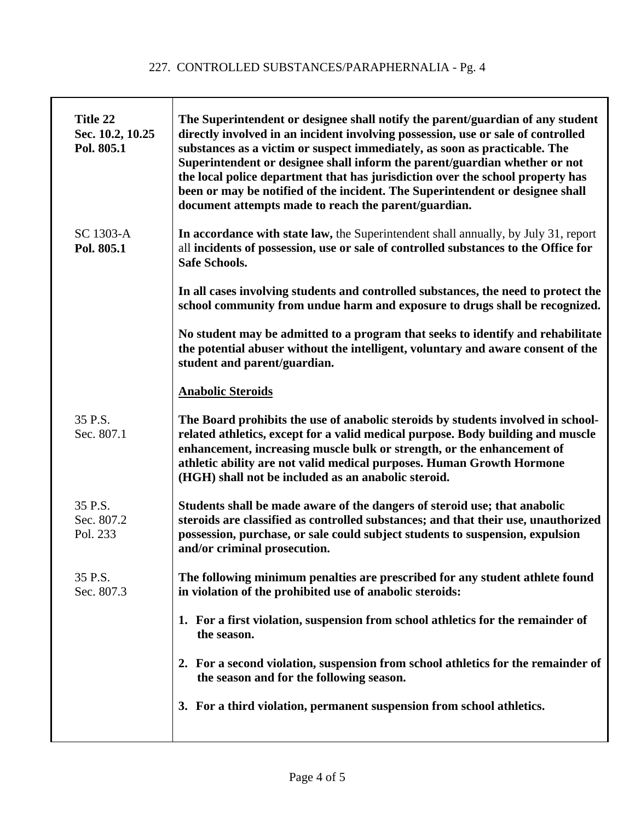| Title 22<br>Sec. 10.2, 10.25<br>Pol. 805.1 | The Superintendent or designee shall notify the parent/guardian of any student<br>directly involved in an incident involving possession, use or sale of controlled<br>substances as a victim or suspect immediately, as soon as practicable. The<br>Superintendent or designee shall inform the parent/guardian whether or not<br>the local police department that has jurisdiction over the school property has<br>been or may be notified of the incident. The Superintendent or designee shall<br>document attempts made to reach the parent/guardian. |
|--------------------------------------------|-----------------------------------------------------------------------------------------------------------------------------------------------------------------------------------------------------------------------------------------------------------------------------------------------------------------------------------------------------------------------------------------------------------------------------------------------------------------------------------------------------------------------------------------------------------|
| SC 1303-A<br>Pol. 805.1                    | In accordance with state law, the Superintendent shall annually, by July 31, report<br>all incidents of possession, use or sale of controlled substances to the Office for<br><b>Safe Schools.</b>                                                                                                                                                                                                                                                                                                                                                        |
|                                            | In all cases involving students and controlled substances, the need to protect the<br>school community from undue harm and exposure to drugs shall be recognized.                                                                                                                                                                                                                                                                                                                                                                                         |
|                                            | No student may be admitted to a program that seeks to identify and rehabilitate<br>the potential abuser without the intelligent, voluntary and aware consent of the<br>student and parent/guardian.                                                                                                                                                                                                                                                                                                                                                       |
|                                            | <b>Anabolic Steroids</b>                                                                                                                                                                                                                                                                                                                                                                                                                                                                                                                                  |
| 35 P.S.<br>Sec. 807.1                      | The Board prohibits the use of anabolic steroids by students involved in school-<br>related athletics, except for a valid medical purpose. Body building and muscle<br>enhancement, increasing muscle bulk or strength, or the enhancement of<br>athletic ability are not valid medical purposes. Human Growth Hormone<br>(HGH) shall not be included as an anabolic steroid.                                                                                                                                                                             |
| 35 P.S.<br>Sec. 807.2<br>Pol. 233          | Students shall be made aware of the dangers of steroid use; that anabolic<br>steroids are classified as controlled substances; and that their use, unauthorized<br>possession, purchase, or sale could subject students to suspension, expulsion<br>and/or criminal prosecution.                                                                                                                                                                                                                                                                          |
| 35 P.S.<br>Sec. 807.3                      | The following minimum penalties are prescribed for any student athlete found<br>in violation of the prohibited use of anabolic steroids:                                                                                                                                                                                                                                                                                                                                                                                                                  |
|                                            | 1. For a first violation, suspension from school athletics for the remainder of<br>the season.                                                                                                                                                                                                                                                                                                                                                                                                                                                            |
|                                            | 2. For a second violation, suspension from school athletics for the remainder of<br>the season and for the following season.                                                                                                                                                                                                                                                                                                                                                                                                                              |
|                                            | 3. For a third violation, permanent suspension from school athletics.                                                                                                                                                                                                                                                                                                                                                                                                                                                                                     |
|                                            |                                                                                                                                                                                                                                                                                                                                                                                                                                                                                                                                                           |